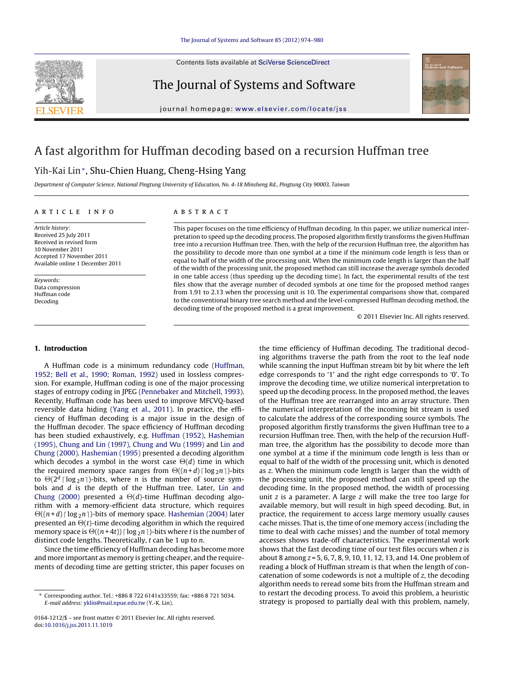

The Journal of Systems and Software



iournal homepage: www.elsevier.com/locate/iss

## A fast algorithm for Huffman decoding based on a recursion Huffman tree

### Yih-Kai Lin<sup>∗</sup>, Shu-Chien Huang, Cheng-Hsing Yang

Department of Computer Science, National Pingtung University of Education, No. 4-18 Minsheng Rd., Pingtung City 90003, Taiwan

#### a r t i c l e i n f o

Article history: Received 25 July 2011 Received in revised form 10 November 2011 Accepted 17 November 2011 Available online 1 December 2011

Keywords: Data compression Huffman code Decoding

#### A B S T R A C T

This paper focuses on the time efficiency of Huffman decoding. In this paper, we utilize numerical interpretation to speed up the decoding process. The proposed algorithm firstly transforms the given Huffman tree into a recursion Huffman tree. Then, with the help of the recursion Huffman tree, the algorithm has the possibility to decode more than one symbol at a time if the minimum code length is less than or equal to half of the width of the processing unit. When the minimum code length is larger than the half of the width of the processing unit, the proposed method can still increase the average symbols decoded in one table access (thus speeding up the decoding time). In fact, the experimental results of the test files show that the average number of decoded symbols at one time for the proposed method ranges from 1.91 to 2.13 when the processing unit is 10. The experimental comparisons show that, compared to the conventional binary tree search method and the level-compressed Huffman decoding method, the decoding time of the proposed method is a great improvement.

© 2011 Elsevier Inc. All rights reserved.

#### **1. Introduction**

A Huffman code is a minimum redundancy code ([Huffman,](#page--1-0) [1952;](#page--1-0) [Bell](#page--1-0) et [al.,](#page--1-0) [1990;](#page--1-0) [Roman,](#page--1-0) [1992\)](#page--1-0) used in lossless compression. For example, Huffman coding is one of the major processing stages of entropy coding in JPEG ([Pennebaker](#page--1-0) [and](#page--1-0) [Mitchell,](#page--1-0) [1993\).](#page--1-0) Recently, Huffman code has been used to improve MFCVQ-based reversible data hiding ([Yang](#page--1-0) et [al.,](#page--1-0) [2011\).](#page--1-0) In practice, the efficiency of Huffman decoding is a major issue in the design of the Huffman decoder. The space efficiency of Huffman decoding has been studied exhaustively, e.g. [Huffman](#page--1-0) [\(1952\),](#page--1-0) [Hashemian](#page--1-0) [\(1995\),](#page--1-0) [Chung](#page--1-0) [and](#page--1-0) [Lin](#page--1-0) [\(1997\),](#page--1-0) [Chung](#page--1-0) [and](#page--1-0) [Wu](#page--1-0) [\(1999\)](#page--1-0) and [Lin](#page--1-0) [and](#page--1-0) [Chung](#page--1-0) [\(2000\).](#page--1-0) [Hashemian](#page--1-0) [\(1995\)](#page--1-0) presented a decoding algorithm which decodes a symbol in the worst case  $\Theta(d)$  time in which<br>the required memory space ranges from  $\Theta((n+d) \operatorname{Hom}_{\mathbb{R}} n)$  bits the required memory space ranges from  $\Theta((n+d) \lceil \log_2 n \rceil)$ -bits<br>to  $\Theta(2^d \log_2 n)$ ) bits, where n is the number of source sym to  $\Theta(2^d \log_2 n)$ -bits, where *n* is the number of source sym-<br>bols and *d* is the denth of the Huffman tree. Liter, Lin and bols and d is the depth of the Huffman tree. Later, [Lin](#page--1-0) [and](#page--1-0) [Chung](#page--1-0) [\(2000\)](#page--1-0) presented a  $\Theta(d)$ -time Huffman decoding algo-<br>rithm with a memory efficient data structure, which requires rithm with a memory-efficient data structure, which requires presented an  $\Theta(t)$ -time decoding algorithm in which the required<br>memory cases is  $\Theta((n+4t))$  [log - n ]) bits where t is the number of  $\Theta((n+d) \mid \log_2 n)$ -bits of memory space. [Hashemian](#page--1-0) [\(2004\)](#page--1-0) later memory space is  $\Theta((n+4t))$  [log<sub>2</sub>n])-bits where t is the number of<br>distinct code lengths. Theoretically, t can be 1 up to n distinct code lengths. Theoretically,  $t$  can be 1 up to  $n$ .

Since the time efficiency of Huffman decoding has become more and more important as memory is getting cheaper, and the requirements of decoding time are getting stricter, this paper focuses on the time efficiency of Huffman decoding. The traditional decoding algorithms traverse the path from the root to the leaf node while scanning the input Huffman stream bit by bit where the left edge corresponds to '1' and the right edge corresponds to '0'. To improve the decoding time, we utilize numerical interpretation to speed up the decoding process. In the proposed method, the leaves of the Huffman tree are rearranged into an array structure. Then the numerical interpretation of the incoming bit stream is used to calculate the address of the corresponding source symbols. The proposed algorithm firstly transforms the given Huffman tree to a recursion Huffman tree. Then, with the help of the recursion Huffman tree, the algorithm has the possibility to decode more than one symbol at a time if the minimum code length is less than or equal to half of the width of the processing unit, which is denoted as z. When the minimum code length is larger than the width of the processing unit, the proposed method can still speed up the decoding time. In the proposed method, the width of processing unit  $z$  is a parameter. A large  $z$  will make the tree too large for available memory, but will result in high speed decoding. But, in practice, the requirement to access large memory usually causes cache misses. That is, the time of one memory access (including the time to deal with cache misses) and the number of total memory accesses shows trade-off characteristics. The experimental work shows that the fast decoding time of our test files occurs when z is about 8 among z = 5, 6, 7, 8, 9, 10, 11, 12, 13, and 14. One problem of reading a block of Huffman stream is that when the length of concatenation of some codewords is not a multiple of z, the decoding algorithm needs to reread some bits from the Huffman stream and to restart the decoding process. To avoid this problem, a heuristic strategy is proposed to partially deal with this problem, namely,

<sup>∗</sup> Corresponding author. Tel.: +886 8 722 6141x33559; fax: +886 8 721 5034. E-mail address: [yklin@mail.npue.edu.tw](mailto:yklin@mail.npue.edu.tw) (Y.-K. Lin).

<sup>0164-1212/\$</sup> – see front matter © 2011 Elsevier Inc. All rights reserved. doi:[10.1016/j.jss.2011.11.1019](dx.doi.org/10.1016/j.jss.2011.11.1019)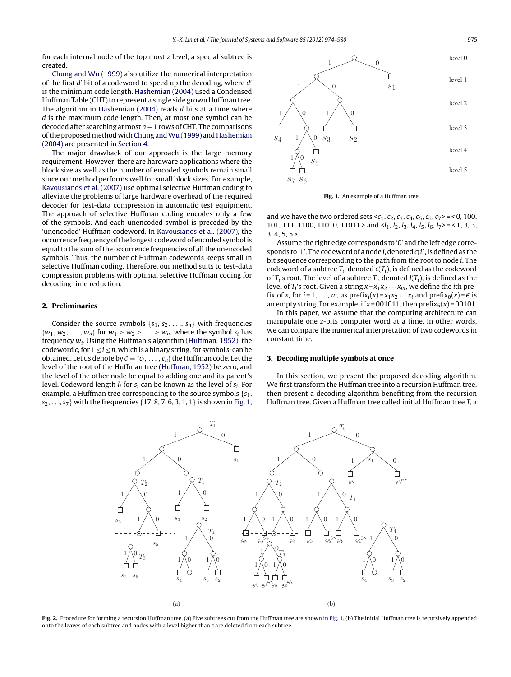for each internal node of the top most z level, a special subtree is created.

[Chung](#page--1-0) [and](#page--1-0) [Wu](#page--1-0) [\(1999\)](#page--1-0) also utilize the numerical interpretation of the first  $d'$  bit of a codeword to speed up the decoding, where  $d'$ is the minimum code length. [Hashemian](#page--1-0) [\(2004\)](#page--1-0) used a Condensed Huffman Table (CHT) to represent a single side grown Huffman tree. The algorithm in [Hashemian](#page--1-0) [\(2004\)](#page--1-0) reads d bits at a time where d is the maximum code length. Then, at most one symbol can be decoded after searching at most  $n - 1$  rows of CHT. The comparisons of the proposed method with [Chung](#page--1-0) and Wu [\(1999\)](#page--1-0) and [Hashemian](#page--1-0) [\(2004\)](#page--1-0) are presented in [Section](#page--1-0) [4.](#page--1-0)

The major drawback of our approach is the large memory requirement. However, there are hardware applications where the block size as well as the number of encoded symbols remain small since our method performs well for small block sizes. For example, [Kavousianos](#page--1-0) et [al.](#page--1-0) [\(2007\)](#page--1-0) use optimal selective Huffman coding to alleviate the problems of large hardware overhead of the required decoder for test-data compression in automatic test equipment. The approach of selective Huffman coding encodes only a few of the symbols. And each unencoded symbol is preceded by the 'unencoded' Huffman codeword. In [Kavousianos](#page--1-0) et [al.](#page--1-0) [\(2007\),](#page--1-0) the occurrence frequency ofthe longest codeword of encoded symbol is equal to the sum of the occurrence frequencies of all the unencoded symbols. Thus, the number of Huffman codewords keeps small in selective Huffman coding. Therefore, our method suits to test-data compression problems with optimal selective Huffman coding for decoding time reduction.

#### **2. Preliminaries**

Consider the source symbols  $\{s_1, s_2, ..., s_n\}$  with frequencies  $\{w_1, w_2, \ldots, w_n\}$  for  $w_1 \geq w_2 \geq \ldots \geq w_n$ , where the symbol  $s_i$  has frequency  $w_i$ . Using the Huffman's algorithm [\(Huffman,](#page--1-0) [1952\),](#page--1-0) the codeword  $c_i$  for  $1 \le i \le n$ , which is a binary string, for symbol  $s_i$  can be obtained. Let us denote by  $C = \{c_i, \ldots, c_n\}$  the Huffman code. Let the level of the root of the Huffman tree [\(Huffman,](#page--1-0) [1952\)](#page--1-0) be zero, and the level of the other node be equal to adding one and its parent's level. Codeword length  $l_i$  for  $s_i$  can be known as the level of  $s_i$ . For example, a Huffman tree corresponding to the source symbols  $\{s_1,$  $s_2, \ldots, s_7$  with the frequencies {17, 8, 7, 6, 3, 1, 1} is shown in Fig. 1,



**Fig. 1.** An example of a Huffman tree.

and we have the two ordered sets  $, 100,$ 101, 111, 1100, 11010, 11011 > and  $\langle l_1, l_2, l_3, l_4, l_5, l_6, l_7 \rangle = \langle 1, 3, 3,$  $3, 4, 5, 5$ 

Assume the right edge corresponds to '0' and the left edge corresponds to '1'. The codeword of a node i, denoted  $c(i)$ , is defined as the bit sequence corresponding to the path from the root to node i. The codeword of a subtree  $T_i$ , denoted  $c(T_i)$ , is defined as the codeword of  $T_i$ 's root. The level of a subtree  $T_i$ , denoted  $I(T_i)$ , is defined as the level of  $T_i$ 's root. Given a string  $x = x_1x_2 \cdots x_m$ , we define the *i*th prefix of x, for  $i = 1, \ldots, m$ , as prefix $i(x) = x_1x_2 \cdots x_i$  and prefix $i(x) = \epsilon$  is an empty string. For example, if  $x = 001011$ , then prefix<sub>5</sub>( $x$ ) = 00101.

In this paper, we assume that the computing architecture can manipulate one z-bits computer word at a time. In other words, we can compare the numerical interpretation of two codewords in constant time.

#### **3. Decoding multiple symbols at once**

In this section, we present the proposed decoding algorithm. We first transform the Huffman tree into a recursion Huffman tree, then present a decoding algorithm benefiting from the recursion Huffman tree. Given a Huffman tree called initial Huffman tree T, a



**Fig. 2.** Procedure for forming a recursion Huffman tree. (a) Five subtrees cut from the Huffman tree are shown in Fig. 1. (b) The initial Huffman tree is recursively appended onto the leaves of each subtree and nodes with a level higher than z are deleted from each subtree.